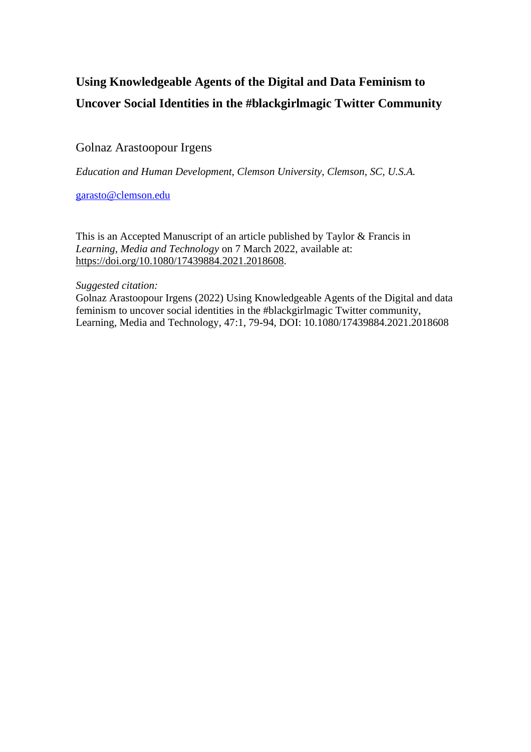# **Using Knowledgeable Agents of the Digital and Data Feminism to Uncover Social Identities in the #blackgirlmagic Twitter Community**

## Golnaz Arastoopour Irgens

*Education and Human Development, Clemson University, Clemson, SC, U.S.A.*

[garasto@clemson.edu](mailto:garasto@clemson.edu)

This is an Accepted Manuscript of an article published by Taylor & Francis in *Learning, Media and Technology* on 7 March 2022, available at: [https://doi.org/10.1080/17439884.2021.2018608.](https://doi.org/10.1080/17439884.2021.2018608)

### *Suggested citation:*

Golnaz Arastoopour Irgens (2022) Using Knowledgeable Agents of the Digital and data feminism to uncover social identities in the #blackgirlmagic Twitter community, Learning, Media and Technology, 47:1, 79-94, DOI: 10.1080/17439884.2021.2018608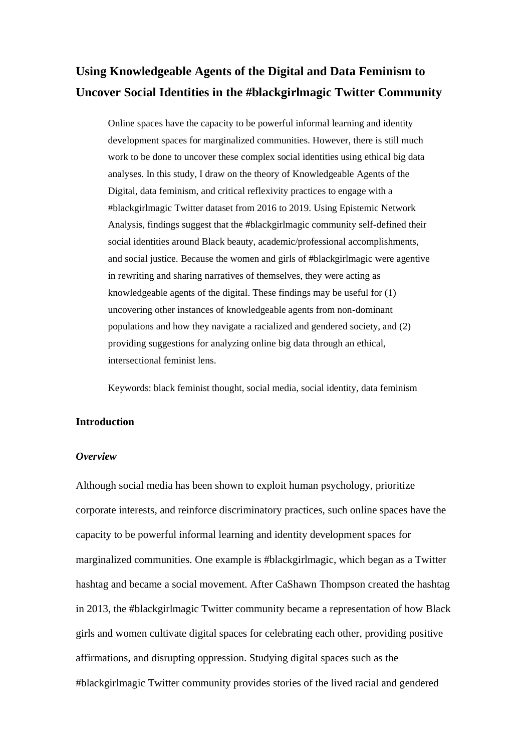# **Using Knowledgeable Agents of the Digital and Data Feminism to Uncover Social Identities in the #blackgirlmagic Twitter Community**

Online spaces have the capacity to be powerful informal learning and identity development spaces for marginalized communities. However, there is still much work to be done to uncover these complex social identities using ethical big data analyses. In this study, I draw on the theory of Knowledgeable Agents of the Digital, data feminism, and critical reflexivity practices to engage with a #blackgirlmagic Twitter dataset from 2016 to 2019. Using Epistemic Network Analysis, findings suggest that the #blackgirlmagic community self-defined their social identities around Black beauty, academic/professional accomplishments, and social justice. Because the women and girls of #blackgirlmagic were agentive in rewriting and sharing narratives of themselves, they were acting as knowledgeable agents of the digital. These findings may be useful for (1) uncovering other instances of knowledgeable agents from non-dominant populations and how they navigate a racialized and gendered society, and (2) providing suggestions for analyzing online big data through an ethical, intersectional feminist lens.

Keywords: black feminist thought, social media, social identity, data feminism

#### **Introduction**

#### *Overview*

Although social media has been shown to exploit human psychology, prioritize corporate interests, and reinforce discriminatory practices, such online spaces have the capacity to be powerful informal learning and identity development spaces for marginalized communities. One example is #blackgirlmagic, which began as a Twitter hashtag and became a social movement. After CaShawn Thompson created the hashtag in 2013, the #blackgirlmagic Twitter community became a representation of how Black girls and women cultivate digital spaces for celebrating each other, providing positive affirmations, and disrupting oppression. Studying digital spaces such as the #blackgirlmagic Twitter community provides stories of the lived racial and gendered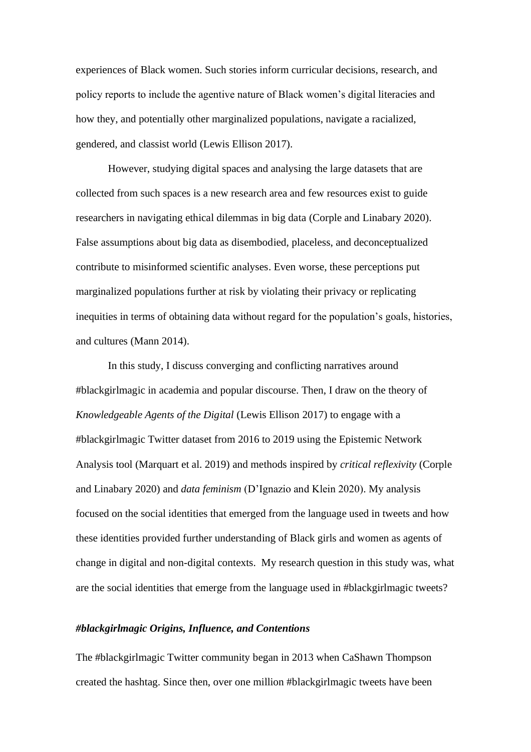experiences of Black women. Such stories inform curricular decisions, research, and policy reports to include the agentive nature of Black women's digital literacies and how they, and potentially other marginalized populations, navigate a racialized, gendered, and classist world (Lewis Ellison 2017).

However, studying digital spaces and analysing the large datasets that are collected from such spaces is a new research area and few resources exist to guide researchers in navigating ethical dilemmas in big data (Corple and Linabary 2020). False assumptions about big data as disembodied, placeless, and deconceptualized contribute to misinformed scientific analyses. Even worse, these perceptions put marginalized populations further at risk by violating their privacy or replicating inequities in terms of obtaining data without regard for the population's goals, histories, and cultures (Mann 2014).

In this study, I discuss converging and conflicting narratives around #blackgirlmagic in academia and popular discourse. Then, I draw on the theory of *Knowledgeable Agents of the Digital* (Lewis Ellison 2017) to engage with a #blackgirlmagic Twitter dataset from 2016 to 2019 using the Epistemic Network Analysis tool (Marquart et al. 2019) and methods inspired by *critical reflexivity* (Corple and Linabary 2020) and *data feminism* (D'Ignazio and Klein 2020). My analysis focused on the social identities that emerged from the language used in tweets and how these identities provided further understanding of Black girls and women as agents of change in digital and non-digital contexts. My research question in this study was, what are the social identities that emerge from the language used in #blackgirlmagic tweets?

#### *#blackgirlmagic Origins, Influence, and Contentions*

The #blackgirlmagic Twitter community began in 2013 when CaShawn Thompson created the hashtag. Since then, over one million #blackgirlmagic tweets have been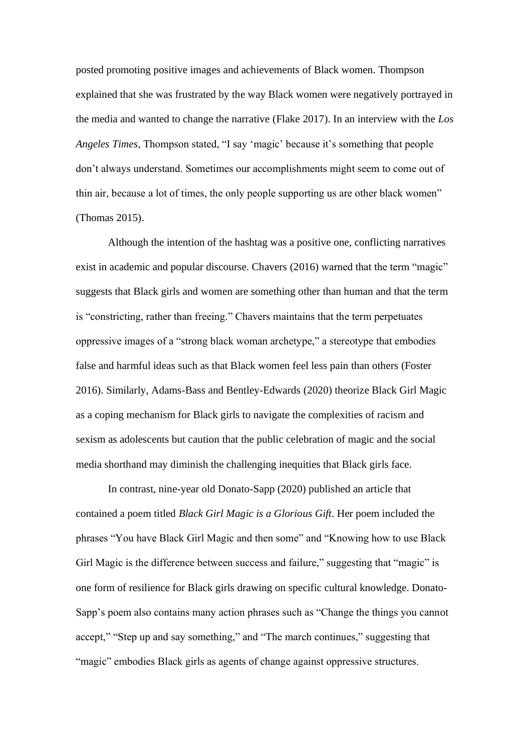posted promoting positive images and achievements of Black women. Thompson explained that she was frustrated by the way Black women were negatively portrayed in the media and wanted to change the narrative (Flake 2017). In an interview with the *Los Angeles Times*, Thompson stated, "I say 'magic' because it's something that people don't always understand. Sometimes our accomplishments might seem to come out of thin air, because a lot of times, the only people supporting us are other black women" (Thomas 2015).

Although the intention of the hashtag was a positive one, conflicting narratives exist in academic and popular discourse. Chavers (2016) warned that the term "magic" suggests that Black girls and women are something other than human and that the term is "constricting, rather than freeing." Chavers maintains that the term perpetuates oppressive images of a "strong black woman archetype," a stereotype that embodies false and harmful ideas such as that Black women feel less pain than others (Foster 2016). Similarly, Adams-Bass and Bentley-Edwards (2020) theorize Black Girl Magic as a coping mechanism for Black girls to navigate the complexities of racism and sexism as adolescents but caution that the public celebration of magic and the social media shorthand may diminish the challenging inequities that Black girls face.

In contrast, nine-year old Donato-Sapp (2020) published an article that contained a poem titled *Black Girl Magic is a Glorious Gift*. Her poem included the phrases "You have Black Girl Magic and then some" and "Knowing how to use Black Girl Magic is the difference between success and failure," suggesting that "magic" is one form of resilience for Black girls drawing on specific cultural knowledge. Donato-Sapp's poem also contains many action phrases such as "Change the things you cannot accept," "Step up and say something," and "The march continues," suggesting that "magic" embodies Black girls as agents of change against oppressive structures.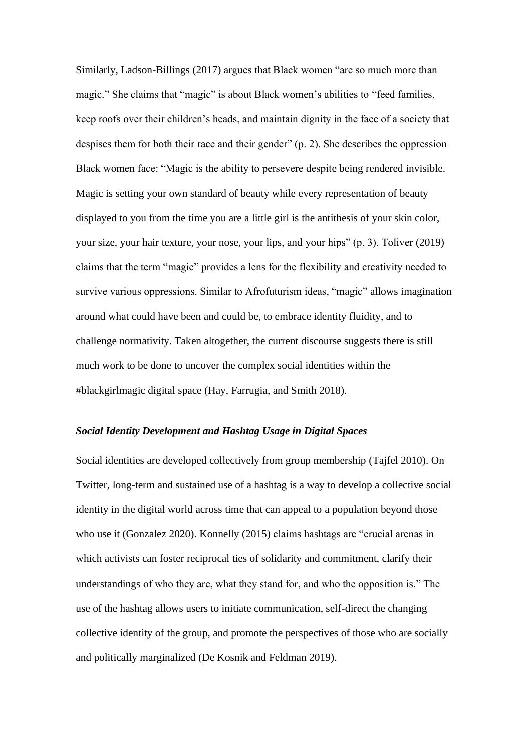Similarly, Ladson-Billings (2017) argues that Black women "are so much more than magic." She claims that "magic" is about Black women's abilities to "feed families, keep roofs over their children's heads, and maintain dignity in the face of a society that despises them for both their race and their gender" (p. 2). She describes the oppression Black women face: "Magic is the ability to persevere despite being rendered invisible. Magic is setting your own standard of beauty while every representation of beauty displayed to you from the time you are a little girl is the antithesis of your skin color, your size, your hair texture, your nose, your lips, and your hips" (p. 3). Toliver (2019) claims that the term "magic" provides a lens for the flexibility and creativity needed to survive various oppressions. Similar to Afrofuturism ideas, "magic" allows imagination around what could have been and could be, to embrace identity fluidity, and to challenge normativity. Taken altogether, the current discourse suggests there is still much work to be done to uncover the complex social identities within the #blackgirlmagic digital space (Hay, Farrugia, and Smith 2018).

#### *Social Identity Development and Hashtag Usage in Digital Spaces*

Social identities are developed collectively from group membership (Tajfel 2010). On Twitter, long-term and sustained use of a hashtag is a way to develop a collective social identity in the digital world across time that can appeal to a population beyond those who use it (Gonzalez 2020). Konnelly (2015) claims hashtags are "crucial arenas in which activists can foster reciprocal ties of solidarity and commitment, clarify their understandings of who they are, what they stand for, and who the opposition is." The use of the hashtag allows users to initiate communication, self-direct the changing collective identity of the group, and promote the perspectives of those who are socially and politically marginalized (De Kosnik and Feldman 2019).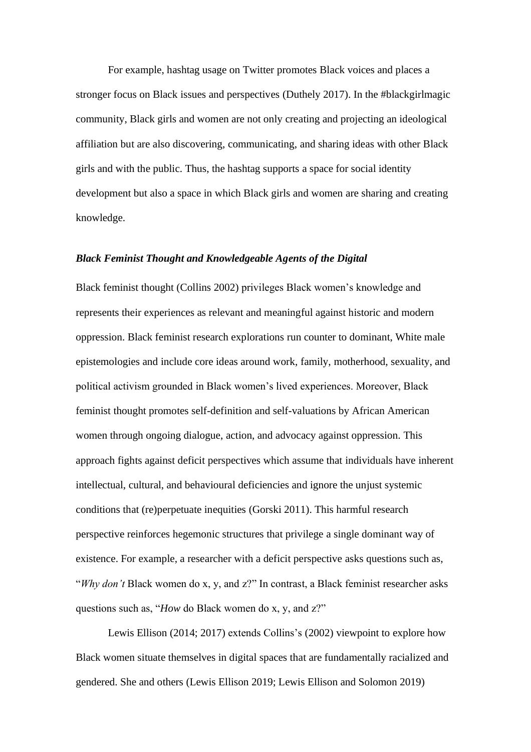For example, hashtag usage on Twitter promotes Black voices and places a stronger focus on Black issues and perspectives (Duthely 2017). In the #blackgirlmagic community, Black girls and women are not only creating and projecting an ideological affiliation but are also discovering, communicating, and sharing ideas with other Black girls and with the public. Thus, the hashtag supports a space for social identity development but also a space in which Black girls and women are sharing and creating knowledge.

#### *Black Feminist Thought and Knowledgeable Agents of the Digital*

Black feminist thought (Collins 2002) privileges Black women's knowledge and represents their experiences as relevant and meaningful against historic and modern oppression. Black feminist research explorations run counter to dominant, White male epistemologies and include core ideas around work, family, motherhood, sexuality, and political activism grounded in Black women's lived experiences. Moreover, Black feminist thought promotes self-definition and self-valuations by African American women through ongoing dialogue, action, and advocacy against oppression. This approach fights against deficit perspectives which assume that individuals have inherent intellectual, cultural, and behavioural deficiencies and ignore the unjust systemic conditions that (re)perpetuate inequities (Gorski 2011). This harmful research perspective reinforces hegemonic structures that privilege a single dominant way of existence. For example, a researcher with a deficit perspective asks questions such as, "*Why don't* Black women do x, y, and z?" In contrast, a Black feminist researcher asks questions such as, "*How* do Black women do x, y, and z?"

Lewis Ellison (2014; 2017) extends Collins's (2002) viewpoint to explore how Black women situate themselves in digital spaces that are fundamentally racialized and gendered. She and others (Lewis Ellison 2019; Lewis Ellison and Solomon 2019)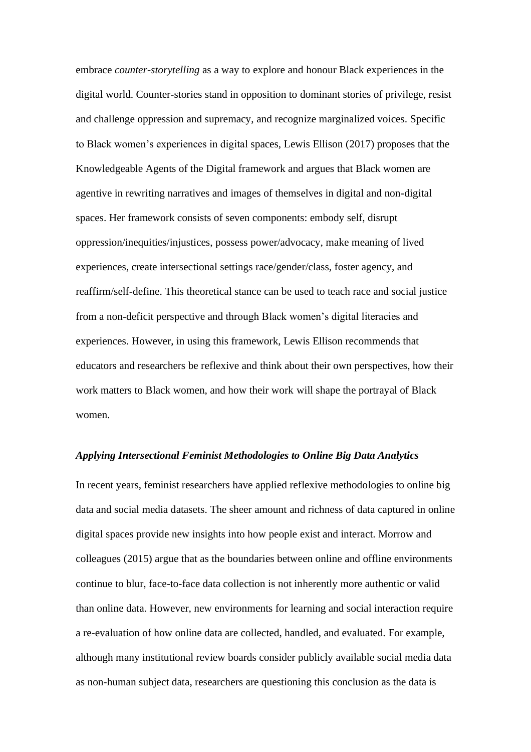embrace *counter-storytelling* as a way to explore and honour Black experiences in the digital world. Counter-stories stand in opposition to dominant stories of privilege, resist and challenge oppression and supremacy, and recognize marginalized voices. Specific to Black women's experiences in digital spaces, Lewis Ellison (2017) proposes that the Knowledgeable Agents of the Digital framework and argues that Black women are agentive in rewriting narratives and images of themselves in digital and non-digital spaces. Her framework consists of seven components: embody self, disrupt oppression/inequities/injustices, possess power/advocacy, make meaning of lived experiences, create intersectional settings race/gender/class, foster agency, and reaffirm/self-define. This theoretical stance can be used to teach race and social justice from a non-deficit perspective and through Black women's digital literacies and experiences. However, in using this framework, Lewis Ellison recommends that educators and researchers be reflexive and think about their own perspectives, how their work matters to Black women, and how their work will shape the portrayal of Black women.

#### *Applying Intersectional Feminist Methodologies to Online Big Data Analytics*

In recent years, feminist researchers have applied reflexive methodologies to online big data and social media datasets. The sheer amount and richness of data captured in online digital spaces provide new insights into how people exist and interact. Morrow and colleagues (2015) argue that as the boundaries between online and offline environments continue to blur, face-to-face data collection is not inherently more authentic or valid than online data. However, new environments for learning and social interaction require a re-evaluation of how online data are collected, handled, and evaluated. For example, although many institutional review boards consider publicly available social media data as non-human subject data, researchers are questioning this conclusion as the data is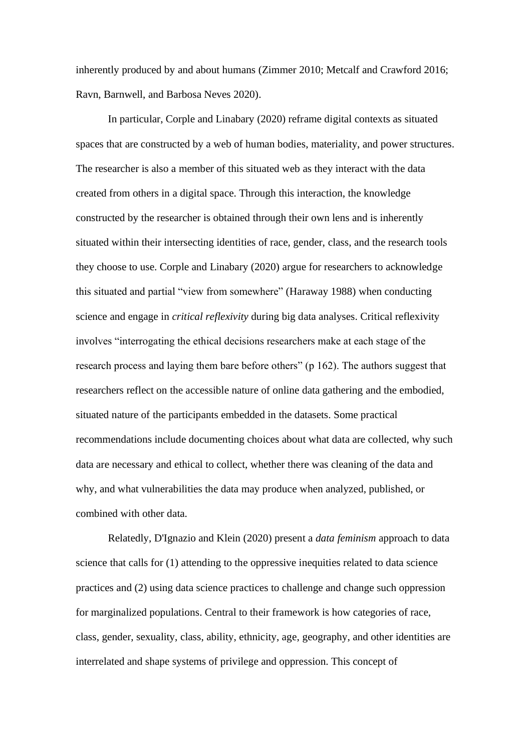inherently produced by and about humans (Zimmer 2010; Metcalf and Crawford 2016; Ravn, Barnwell, and Barbosa Neves 2020).

In particular, Corple and Linabary (2020) reframe digital contexts as situated spaces that are constructed by a web of human bodies, materiality, and power structures. The researcher is also a member of this situated web as they interact with the data created from others in a digital space. Through this interaction, the knowledge constructed by the researcher is obtained through their own lens and is inherently situated within their intersecting identities of race, gender, class, and the research tools they choose to use. Corple and Linabary (2020) argue for researchers to acknowledge this situated and partial "view from somewhere" (Haraway 1988) when conducting science and engage in *critical reflexivity* during big data analyses. Critical reflexivity involves "interrogating the ethical decisions researchers make at each stage of the research process and laying them bare before others" (p 162). The authors suggest that researchers reflect on the accessible nature of online data gathering and the embodied, situated nature of the participants embedded in the datasets. Some practical recommendations include documenting choices about what data are collected, why such data are necessary and ethical to collect, whether there was cleaning of the data and why, and what vulnerabilities the data may produce when analyzed, published, or combined with other data.

Relatedly, D'Ignazio and Klein (2020) present a *data feminism* approach to data science that calls for (1) attending to the oppressive inequities related to data science practices and (2) using data science practices to challenge and change such oppression for marginalized populations. Central to their framework is how categories of race, class, gender, sexuality, class, ability, ethnicity, age, geography, and other identities are interrelated and shape systems of privilege and oppression. This concept of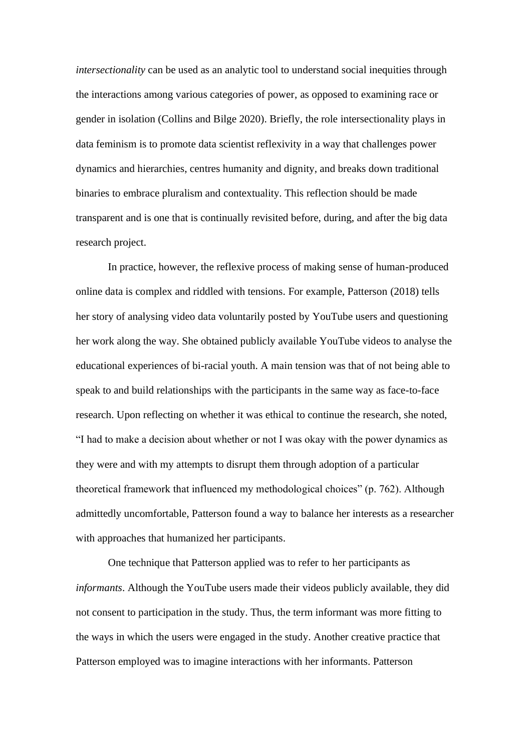*intersectionality* can be used as an analytic tool to understand social inequities through the interactions among various categories of power, as opposed to examining race or gender in isolation (Collins and Bilge 2020). Briefly, the role intersectionality plays in data feminism is to promote data scientist reflexivity in a way that challenges power dynamics and hierarchies, centres humanity and dignity, and breaks down traditional binaries to embrace pluralism and contextuality. This reflection should be made transparent and is one that is continually revisited before, during, and after the big data research project.

In practice, however, the reflexive process of making sense of human-produced online data is complex and riddled with tensions. For example, Patterson (2018) tells her story of analysing video data voluntarily posted by YouTube users and questioning her work along the way. She obtained publicly available YouTube videos to analyse the educational experiences of bi-racial youth. A main tension was that of not being able to speak to and build relationships with the participants in the same way as face-to-face research. Upon reflecting on whether it was ethical to continue the research, she noted, "I had to make a decision about whether or not I was okay with the power dynamics as they were and with my attempts to disrupt them through adoption of a particular theoretical framework that influenced my methodological choices" (p. 762). Although admittedly uncomfortable, Patterson found a way to balance her interests as a researcher with approaches that humanized her participants.

One technique that Patterson applied was to refer to her participants as *informants*. Although the YouTube users made their videos publicly available, they did not consent to participation in the study. Thus, the term informant was more fitting to the ways in which the users were engaged in the study. Another creative practice that Patterson employed was to imagine interactions with her informants. Patterson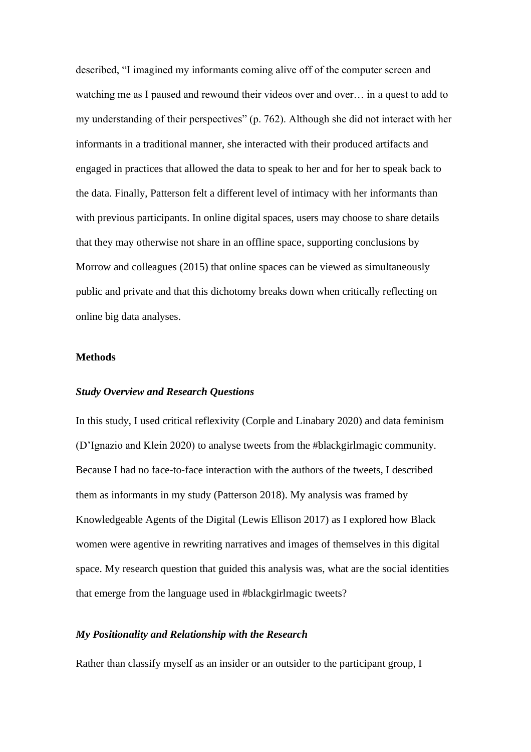described, "I imagined my informants coming alive off of the computer screen and watching me as I paused and rewound their videos over and over… in a quest to add to my understanding of their perspectives" (p. 762). Although she did not interact with her informants in a traditional manner, she interacted with their produced artifacts and engaged in practices that allowed the data to speak to her and for her to speak back to the data. Finally, Patterson felt a different level of intimacy with her informants than with previous participants. In online digital spaces, users may choose to share details that they may otherwise not share in an offline space, supporting conclusions by Morrow and colleagues (2015) that online spaces can be viewed as simultaneously public and private and that this dichotomy breaks down when critically reflecting on online big data analyses.

## **Methods**

#### *Study Overview and Research Questions*

In this study, I used critical reflexivity (Corple and Linabary 2020) and data feminism (D'Ignazio and Klein 2020) to analyse tweets from the #blackgirlmagic community. Because I had no face-to-face interaction with the authors of the tweets, I described them as informants in my study (Patterson 2018). My analysis was framed by Knowledgeable Agents of the Digital (Lewis Ellison 2017) as I explored how Black women were agentive in rewriting narratives and images of themselves in this digital space. My research question that guided this analysis was, what are the social identities that emerge from the language used in #blackgirlmagic tweets?

#### *My Positionality and Relationship with the Research*

Rather than classify myself as an insider or an outsider to the participant group, I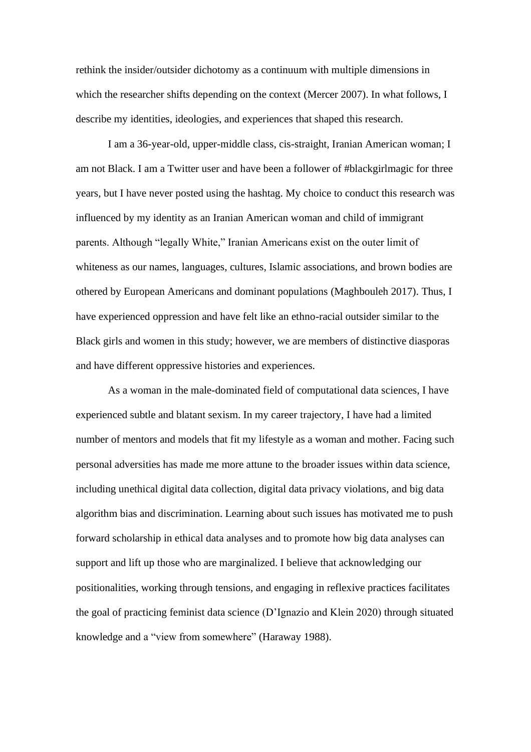rethink the insider/outsider dichotomy as a continuum with multiple dimensions in which the researcher shifts depending on the context (Mercer 2007). In what follows, I describe my identities, ideologies, and experiences that shaped this research.

I am a 36-year-old, upper-middle class, cis-straight, Iranian American woman; I am not Black. I am a Twitter user and have been a follower of #blackgirlmagic for three years, but I have never posted using the hashtag. My choice to conduct this research was influenced by my identity as an Iranian American woman and child of immigrant parents. Although "legally White," Iranian Americans exist on the outer limit of whiteness as our names, languages, cultures, Islamic associations, and brown bodies are othered by European Americans and dominant populations (Maghbouleh 2017). Thus, I have experienced oppression and have felt like an ethno-racial outsider similar to the Black girls and women in this study; however, we are members of distinctive diasporas and have different oppressive histories and experiences.

As a woman in the male-dominated field of computational data sciences, I have experienced subtle and blatant sexism. In my career trajectory, I have had a limited number of mentors and models that fit my lifestyle as a woman and mother. Facing such personal adversities has made me more attune to the broader issues within data science, including unethical digital data collection, digital data privacy violations, and big data algorithm bias and discrimination. Learning about such issues has motivated me to push forward scholarship in ethical data analyses and to promote how big data analyses can support and lift up those who are marginalized. I believe that acknowledging our positionalities, working through tensions, and engaging in reflexive practices facilitates the goal of practicing feminist data science (D'Ignazio and Klein 2020) through situated knowledge and a "view from somewhere" (Haraway 1988).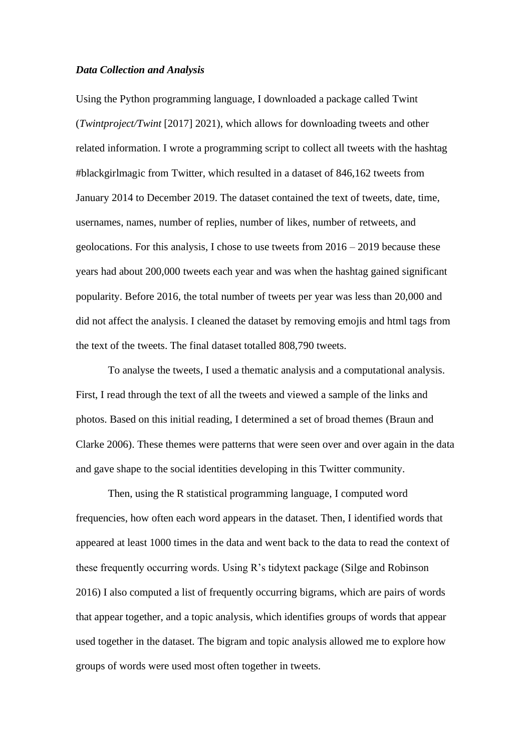#### *Data Collection and Analysis*

Using the Python programming language, I downloaded a package called Twint (*Twintproject/Twint* [2017] 2021), which allows for downloading tweets and other related information. I wrote a programming script to collect all tweets with the hashtag #blackgirlmagic from Twitter, which resulted in a dataset of 846,162 tweets from January 2014 to December 2019. The dataset contained the text of tweets, date, time, usernames, names, number of replies, number of likes, number of retweets, and geolocations. For this analysis, I chose to use tweets from 2016 – 2019 because these years had about 200,000 tweets each year and was when the hashtag gained significant popularity. Before 2016, the total number of tweets per year was less than 20,000 and did not affect the analysis. I cleaned the dataset by removing emojis and html tags from the text of the tweets. The final dataset totalled 808,790 tweets.

To analyse the tweets, I used a thematic analysis and a computational analysis. First, I read through the text of all the tweets and viewed a sample of the links and photos. Based on this initial reading, I determined a set of broad themes (Braun and Clarke 2006). These themes were patterns that were seen over and over again in the data and gave shape to the social identities developing in this Twitter community.

Then, using the R statistical programming language, I computed word frequencies, how often each word appears in the dataset. Then, I identified words that appeared at least 1000 times in the data and went back to the data to read the context of these frequently occurring words. Using R's tidytext package (Silge and Robinson 2016) I also computed a list of frequently occurring bigrams, which are pairs of words that appear together, and a topic analysis, which identifies groups of words that appear used together in the dataset. The bigram and topic analysis allowed me to explore how groups of words were used most often together in tweets.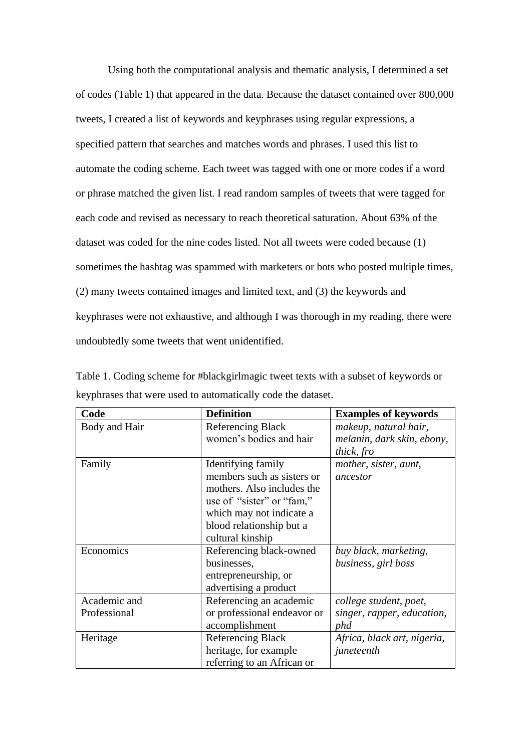Using both the computational analysis and thematic analysis, I determined a set of codes (Table 1) that appeared in the data. Because the dataset contained over 800,000 tweets, I created a list of keywords and keyphrases using regular expressions, a specified pattern that searches and matches words and phrases. I used this list to automate the coding scheme. Each tweet was tagged with one or more codes if a word or phrase matched the given list. I read random samples of tweets that were tagged for each code and revised as necessary to reach theoretical saturation. About 63% of the dataset was coded for the nine codes listed. Not all tweets were coded because (1) sometimes the hashtag was spammed with marketers or bots who posted multiple times, (2) many tweets contained images and limited text, and (3) the keywords and keyphrases were not exhaustive, and although I was thorough in my reading, there were undoubtedly some tweets that went unidentified.

| Table 1. Coding scheme for #blackgirlmagic tweet texts with a subset of keywords or |
|-------------------------------------------------------------------------------------|
| keyphrases that were used to automatically code the dataset.                        |

| Code          | <b>Definition</b>           | <b>Examples of keywords</b> |
|---------------|-----------------------------|-----------------------------|
| Body and Hair | <b>Referencing Black</b>    | makeup, natural hair,       |
|               | women's bodies and hair     | melanin, dark skin, ebony,  |
|               |                             | thick, fro                  |
| Family        | Identifying family          | mother, sister, aunt,       |
|               | members such as sisters or  | ancestor                    |
|               | mothers. Also includes the  |                             |
|               | use of "sister" or "fam,"   |                             |
|               | which may not indicate a    |                             |
|               | blood relationship but a    |                             |
|               | cultural kinship            |                             |
| Economics     | Referencing black-owned     | buy black, marketing,       |
|               | businesses,                 | business, girl boss         |
|               | entrepreneurship, or        |                             |
|               | advertising a product       |                             |
| Academic and  | Referencing an academic     | college student, poet,      |
| Professional  | or professional endeavor or | singer, rapper, education,  |
|               | accomplishment              | phd                         |
| Heritage      | <b>Referencing Black</b>    | Africa, black art, nigeria, |
|               | heritage, for example       | juneteenth                  |
|               | referring to an African or  |                             |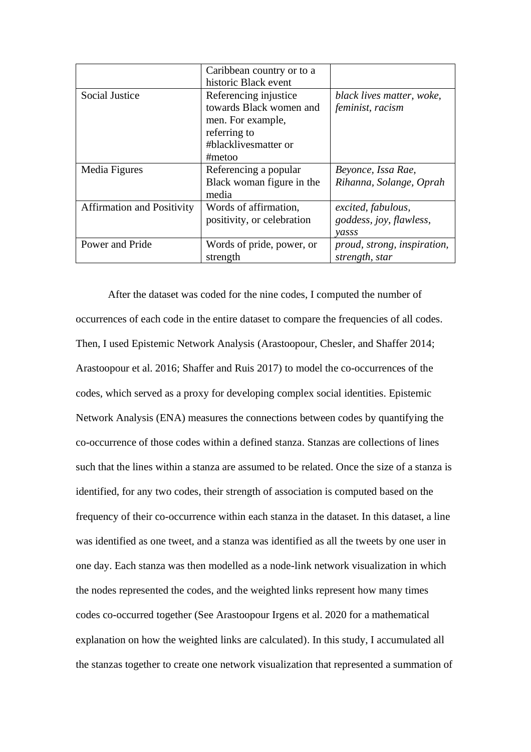|                                   | Caribbean country or to a<br>historic Black event                                                                       |                                                        |
|-----------------------------------|-------------------------------------------------------------------------------------------------------------------------|--------------------------------------------------------|
| Social Justice                    | Referencing injustice<br>towards Black women and<br>men. For example,<br>referring to<br>#blacklivesmatter or<br>#metoo | black lives matter, woke,<br>feminist, racism          |
| Media Figures                     | Referencing a popular<br>Black woman figure in the<br>media                                                             | Beyonce, Issa Rae,<br>Rihanna, Solange, Oprah          |
| <b>Affirmation and Positivity</b> | Words of affirmation,<br>positivity, or celebration                                                                     | excited, fabulous,<br>goddess, joy, flawless,<br>vasss |
| Power and Pride                   | Words of pride, power, or<br>strength                                                                                   | proud, strong, inspiration,<br>strength, star          |

After the dataset was coded for the nine codes, I computed the number of occurrences of each code in the entire dataset to compare the frequencies of all codes. Then, I used Epistemic Network Analysis (Arastoopour, Chesler, and Shaffer 2014; Arastoopour et al. 2016; Shaffer and Ruis 2017) to model the co-occurrences of the codes, which served as a proxy for developing complex social identities. Epistemic Network Analysis (ENA) measures the connections between codes by quantifying the co-occurrence of those codes within a defined stanza. Stanzas are collections of lines such that the lines within a stanza are assumed to be related. Once the size of a stanza is identified, for any two codes, their strength of association is computed based on the frequency of their co-occurrence within each stanza in the dataset. In this dataset, a line was identified as one tweet, and a stanza was identified as all the tweets by one user in one day. Each stanza was then modelled as a node-link network visualization in which the nodes represented the codes, and the weighted links represent how many times codes co-occurred together (See Arastoopour Irgens et al. 2020 for a mathematical explanation on how the weighted links are calculated). In this study, I accumulated all the stanzas together to create one network visualization that represented a summation of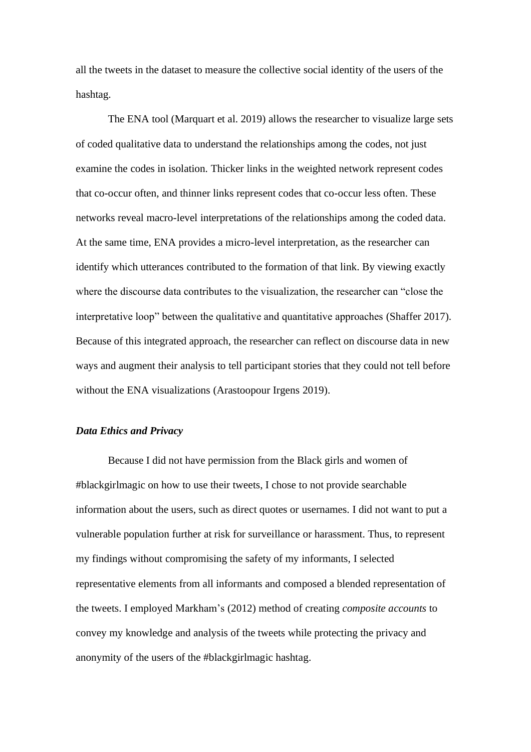all the tweets in the dataset to measure the collective social identity of the users of the hashtag.

The ENA tool (Marquart et al. 2019) allows the researcher to visualize large sets of coded qualitative data to understand the relationships among the codes, not just examine the codes in isolation. Thicker links in the weighted network represent codes that co-occur often, and thinner links represent codes that co-occur less often. These networks reveal macro-level interpretations of the relationships among the coded data. At the same time, ENA provides a micro-level interpretation, as the researcher can identify which utterances contributed to the formation of that link. By viewing exactly where the discourse data contributes to the visualization, the researcher can "close the interpretative loop" between the qualitative and quantitative approaches (Shaffer 2017). Because of this integrated approach, the researcher can reflect on discourse data in new ways and augment their analysis to tell participant stories that they could not tell before without the ENA visualizations (Arastoopour Irgens 2019).

#### *Data Ethics and Privacy*

Because I did not have permission from the Black girls and women of #blackgirlmagic on how to use their tweets, I chose to not provide searchable information about the users, such as direct quotes or usernames. I did not want to put a vulnerable population further at risk for surveillance or harassment. Thus, to represent my findings without compromising the safety of my informants, I selected representative elements from all informants and composed a blended representation of the tweets. I employed Markham's (2012) method of creating *composite accounts* to convey my knowledge and analysis of the tweets while protecting the privacy and anonymity of the users of the #blackgirlmagic hashtag.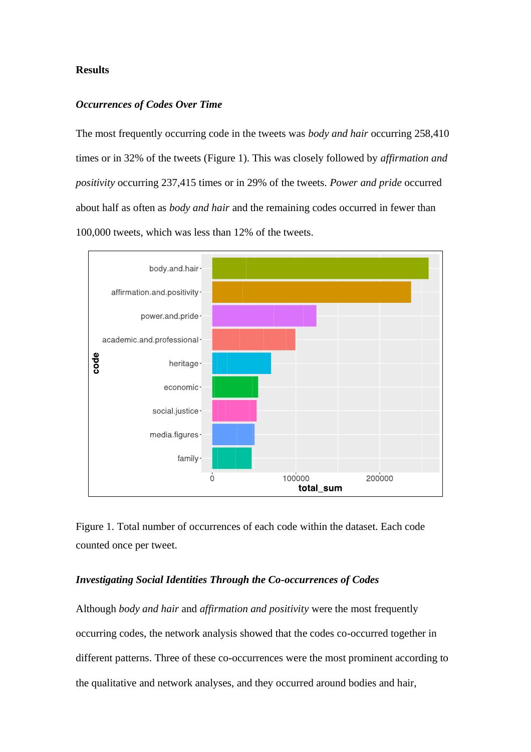#### **Results**

### *Occurrences of Codes Over Time*

The most frequently occurring code in the tweets was *body and hair* occurring 258,410 times or in 32% of the tweets (Figure 1). This was closely followed by *affirmation and positivity* occurring 237,415 times or in 29% of the tweets. *Power and pride* occurred about half as often as *body and hair* and the remaining codes occurred in fewer than 100,000 tweets, which was less than 12% of the tweets.





#### *Investigating Social Identities Through the Co-occurrences of Codes*

Although *body and hair* and *affirmation and positivity* were the most frequently occurring codes, the network analysis showed that the codes co-occurred together in different patterns. Three of these co-occurrences were the most prominent according to the qualitative and network analyses, and they occurred around bodies and hair,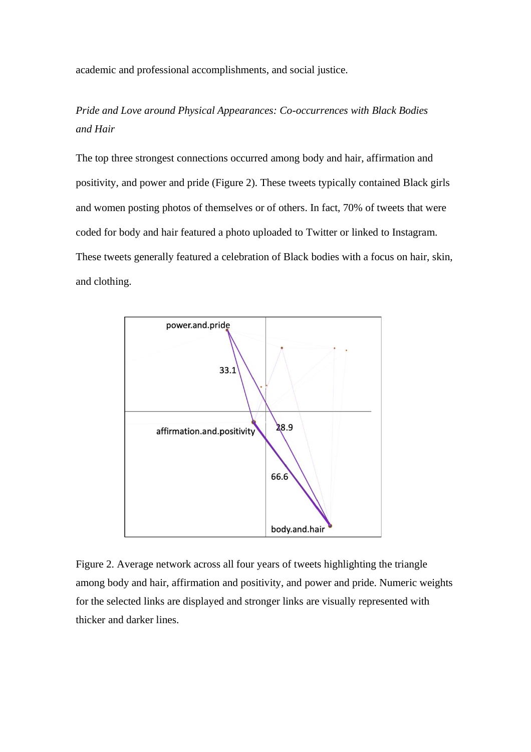academic and professional accomplishments, and social justice.

# *Pride and Love around Physical Appearances: Co-occurrences with Black Bodies and Hair*

The top three strongest connections occurred among body and hair, affirmation and positivity, and power and pride (Figure 2). These tweets typically contained Black girls and women posting photos of themselves or of others. In fact, 70% of tweets that were coded for body and hair featured a photo uploaded to Twitter or linked to Instagram. These tweets generally featured a celebration of Black bodies with a focus on hair, skin, and clothing.



Figure 2. Average network across all four years of tweets highlighting the triangle among body and hair, affirmation and positivity, and power and pride. Numeric weights for the selected links are displayed and stronger links are visually represented with thicker and darker lines.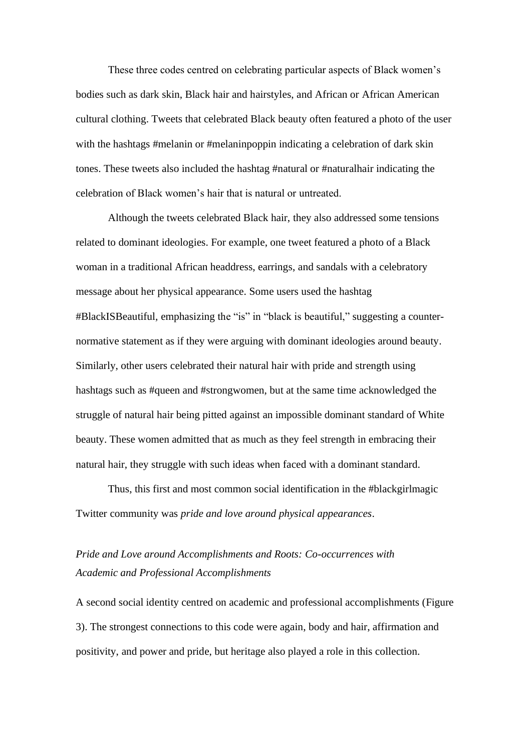These three codes centred on celebrating particular aspects of Black women's bodies such as dark skin, Black hair and hairstyles, and African or African American cultural clothing. Tweets that celebrated Black beauty often featured a photo of the user with the hashtags #melanin or #melaninpoppin indicating a celebration of dark skin tones. These tweets also included the hashtag #natural or #naturalhair indicating the celebration of Black women's hair that is natural or untreated.

Although the tweets celebrated Black hair, they also addressed some tensions related to dominant ideologies. For example, one tweet featured a photo of a Black woman in a traditional African headdress, earrings, and sandals with a celebratory message about her physical appearance. Some users used the hashtag #BlackISBeautiful*,* emphasizing the "is" in "black is beautiful," suggesting a counternormative statement as if they were arguing with dominant ideologies around beauty. Similarly, other users celebrated their natural hair with pride and strength using hashtags such as #queen and #strongwomen, but at the same time acknowledged the struggle of natural hair being pitted against an impossible dominant standard of White beauty. These women admitted that as much as they feel strength in embracing their natural hair, they struggle with such ideas when faced with a dominant standard.

Thus, this first and most common social identification in the #blackgirlmagic Twitter community was *pride and love around physical appearances*.

# *Pride and Love around Accomplishments and Roots: Co-occurrences with Academic and Professional Accomplishments*

A second social identity centred on academic and professional accomplishments (Figure 3). The strongest connections to this code were again, body and hair, affirmation and positivity, and power and pride, but heritage also played a role in this collection.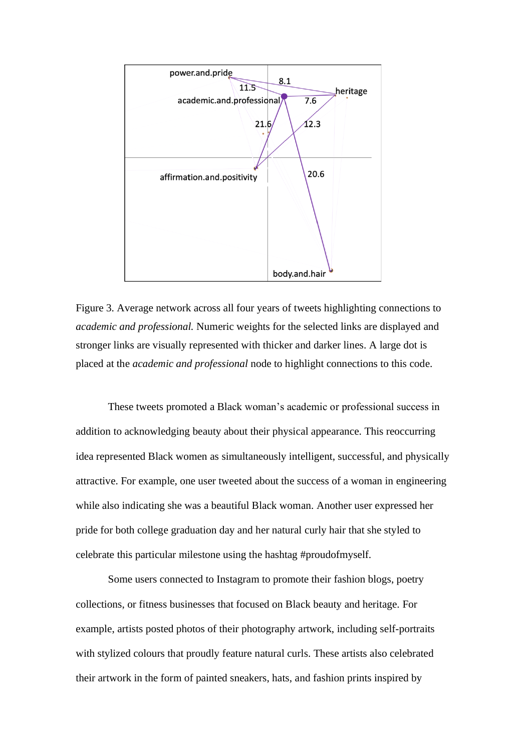

Figure 3. Average network across all four years of tweets highlighting connections to *academic and professional.* Numeric weights for the selected links are displayed and stronger links are visually represented with thicker and darker lines. A large dot is placed at the *academic and professional* node to highlight connections to this code.

These tweets promoted a Black woman's academic or professional success in addition to acknowledging beauty about their physical appearance. This reoccurring idea represented Black women as simultaneously intelligent, successful, and physically attractive. For example, one user tweeted about the success of a woman in engineering while also indicating she was a beautiful Black woman. Another user expressed her pride for both college graduation day and her natural curly hair that she styled to celebrate this particular milestone using the hashtag #proudofmyself.

Some users connected to Instagram to promote their fashion blogs, poetry collections, or fitness businesses that focused on Black beauty and heritage. For example, artists posted photos of their photography artwork, including self-portraits with stylized colours that proudly feature natural curls. These artists also celebrated their artwork in the form of painted sneakers, hats, and fashion prints inspired by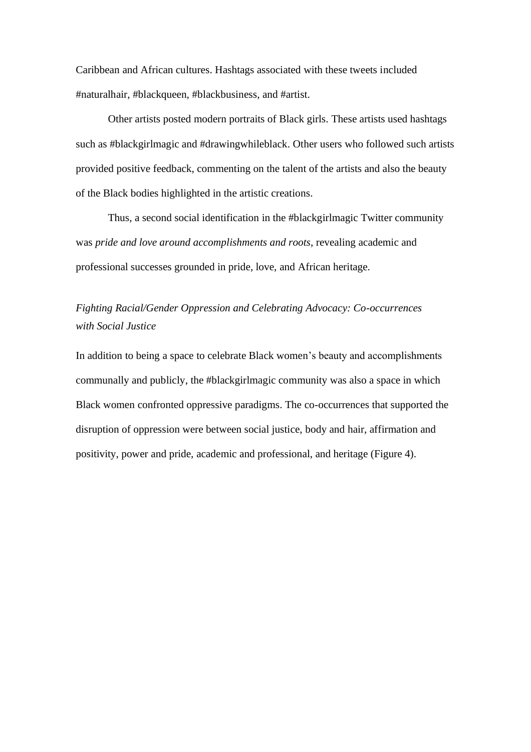Caribbean and African cultures. Hashtags associated with these tweets included #naturalhair, #blackqueen, #blackbusiness, and #artist.

Other artists posted modern portraits of Black girls. These artists used hashtags such as #blackgirlmagic and #drawingwhileblack. Other users who followed such artists provided positive feedback, commenting on the talent of the artists and also the beauty of the Black bodies highlighted in the artistic creations.

Thus, a second social identification in the #blackgirlmagic Twitter community was *pride and love around accomplishments and roots*, revealing academic and professional successes grounded in pride, love, and African heritage.

# *Fighting Racial/Gender Oppression and Celebrating Advocacy: Co-occurrences with Social Justice*

In addition to being a space to celebrate Black women's beauty and accomplishments communally and publicly, the #blackgirlmagic community was also a space in which Black women confronted oppressive paradigms. The co-occurrences that supported the disruption of oppression were between social justice, body and hair, affirmation and positivity, power and pride, academic and professional, and heritage (Figure 4).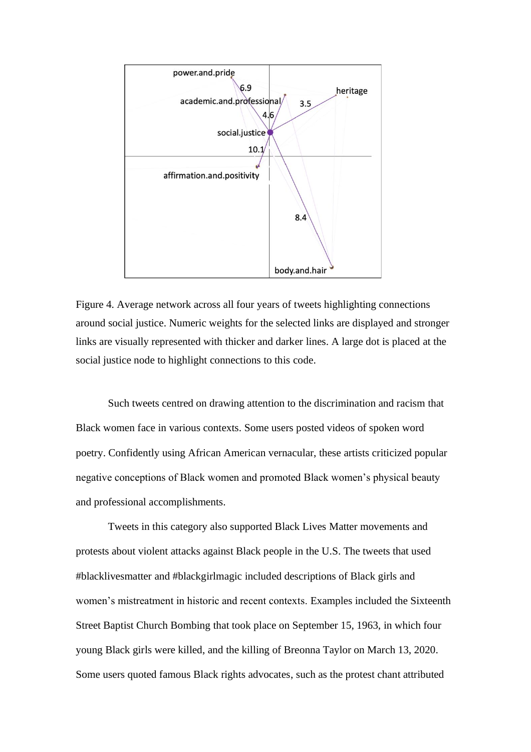

Figure 4. Average network across all four years of tweets highlighting connections around social justice. Numeric weights for the selected links are displayed and stronger links are visually represented with thicker and darker lines. A large dot is placed at the social justice node to highlight connections to this code.

Such tweets centred on drawing attention to the discrimination and racism that Black women face in various contexts. Some users posted videos of spoken word poetry. Confidently using African American vernacular, these artists criticized popular negative conceptions of Black women and promoted Black women's physical beauty and professional accomplishments.

Tweets in this category also supported Black Lives Matter movements and protests about violent attacks against Black people in the U.S. The tweets that used #blacklivesmatter and #blackgirlmagic included descriptions of Black girls and women's mistreatment in historic and recent contexts. Examples included the Sixteenth Street Baptist Church Bombing that took place on September 15, 1963, in which four young Black girls were killed, and the killing of Breonna Taylor on March 13, 2020. Some users quoted famous Black rights advocates, such as the protest chant attributed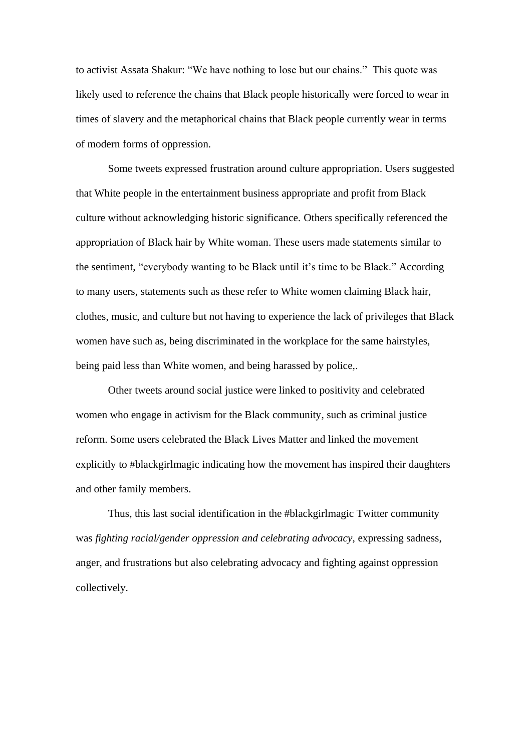to activist Assata Shakur: "We have nothing to lose but our chains." This quote was likely used to reference the chains that Black people historically were forced to wear in times of slavery and the metaphorical chains that Black people currently wear in terms of modern forms of oppression.

Some tweets expressed frustration around culture appropriation. Users suggested that White people in the entertainment business appropriate and profit from Black culture without acknowledging historic significance. Others specifically referenced the appropriation of Black hair by White woman. These users made statements similar to the sentiment, "everybody wanting to be Black until it's time to be Black." According to many users, statements such as these refer to White women claiming Black hair, clothes, music, and culture but not having to experience the lack of privileges that Black women have such as, being discriminated in the workplace for the same hairstyles, being paid less than White women, and being harassed by police,.

Other tweets around social justice were linked to positivity and celebrated women who engage in activism for the Black community, such as criminal justice reform. Some users celebrated the Black Lives Matter and linked the movement explicitly to #blackgirlmagic indicating how the movement has inspired their daughters and other family members.

Thus, this last social identification in the #blackgirlmagic Twitter community was *fighting racial/gender oppression and celebrating advocacy*, expressing sadness, anger, and frustrations but also celebrating advocacy and fighting against oppression collectively.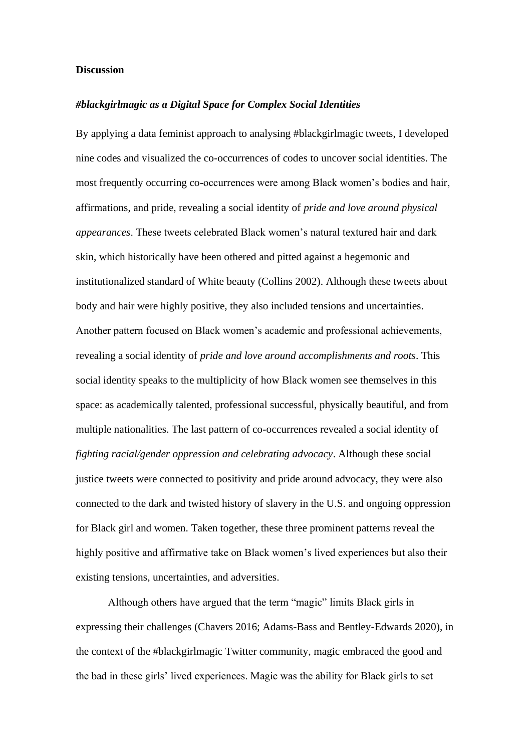#### **Discussion**

#### *#blackgirlmagic as a Digital Space for Complex Social Identities*

By applying a data feminist approach to analysing #blackgirlmagic tweets, I developed nine codes and visualized the co-occurrences of codes to uncover social identities. The most frequently occurring co-occurrences were among Black women's bodies and hair, affirmations, and pride, revealing a social identity of *pride and love around physical appearances*. These tweets celebrated Black women's natural textured hair and dark skin, which historically have been othered and pitted against a hegemonic and institutionalized standard of White beauty (Collins 2002). Although these tweets about body and hair were highly positive, they also included tensions and uncertainties. Another pattern focused on Black women's academic and professional achievements, revealing a social identity of *pride and love around accomplishments and roots*. This social identity speaks to the multiplicity of how Black women see themselves in this space: as academically talented, professional successful, physically beautiful, and from multiple nationalities. The last pattern of co-occurrences revealed a social identity of *fighting racial/gender oppression and celebrating advocacy*. Although these social justice tweets were connected to positivity and pride around advocacy, they were also connected to the dark and twisted history of slavery in the U.S. and ongoing oppression for Black girl and women. Taken together, these three prominent patterns reveal the highly positive and affirmative take on Black women's lived experiences but also their existing tensions, uncertainties, and adversities.

Although others have argued that the term "magic" limits Black girls in expressing their challenges (Chavers 2016; Adams-Bass and Bentley-Edwards 2020), in the context of the #blackgirlmagic Twitter community, magic embraced the good and the bad in these girls' lived experiences. Magic was the ability for Black girls to set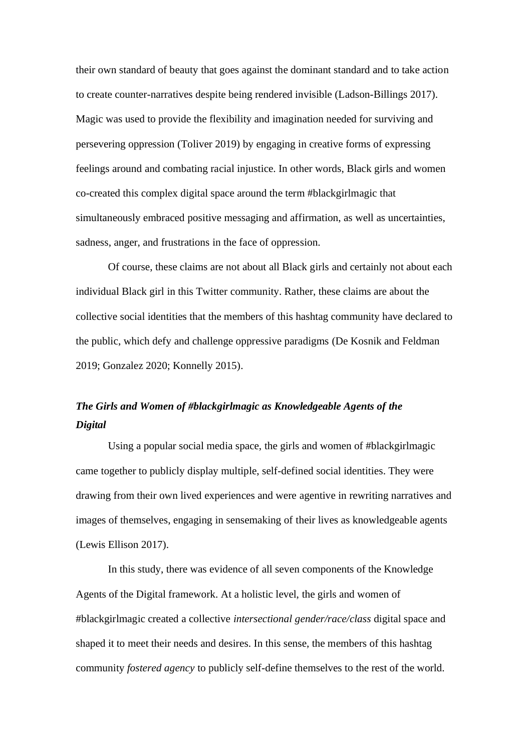their own standard of beauty that goes against the dominant standard and to take action to create counter-narratives despite being rendered invisible (Ladson-Billings 2017). Magic was used to provide the flexibility and imagination needed for surviving and persevering oppression (Toliver 2019) by engaging in creative forms of expressing feelings around and combating racial injustice. In other words, Black girls and women co-created this complex digital space around the term #blackgirlmagic that simultaneously embraced positive messaging and affirmation, as well as uncertainties, sadness, anger, and frustrations in the face of oppression.

Of course, these claims are not about all Black girls and certainly not about each individual Black girl in this Twitter community. Rather, these claims are about the collective social identities that the members of this hashtag community have declared to the public, which defy and challenge oppressive paradigms (De Kosnik and Feldman 2019; Gonzalez 2020; Konnelly 2015).

# *The Girls and Women of #blackgirlmagic as Knowledgeable Agents of the Digital*

Using a popular social media space, the girls and women of #blackgirlmagic came together to publicly display multiple, self-defined social identities. They were drawing from their own lived experiences and were agentive in rewriting narratives and images of themselves, engaging in sensemaking of their lives as knowledgeable agents (Lewis Ellison 2017).

In this study, there was evidence of all seven components of the Knowledge Agents of the Digital framework. At a holistic level, the girls and women of #blackgirlmagic created a collective *intersectional gender/race/class* digital space and shaped it to meet their needs and desires. In this sense, the members of this hashtag community *fostered agency* to publicly self-define themselves to the rest of the world.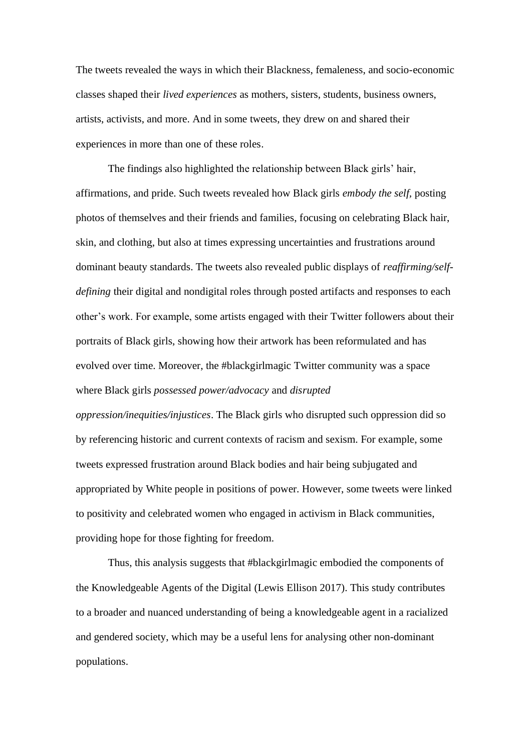The tweets revealed the ways in which their Blackness, femaleness, and socio-economic classes shaped their *lived experiences* as mothers, sisters, students, business owners, artists, activists, and more. And in some tweets, they drew on and shared their experiences in more than one of these roles.

The findings also highlighted the relationship between Black girls' hair, affirmations, and pride. Such tweets revealed how Black girls *embody the self,* posting photos of themselves and their friends and families, focusing on celebrating Black hair, skin, and clothing, but also at times expressing uncertainties and frustrations around dominant beauty standards. The tweets also revealed public displays of *reaffirming/selfdefining* their digital and nondigital roles through posted artifacts and responses to each other's work. For example, some artists engaged with their Twitter followers about their portraits of Black girls, showing how their artwork has been reformulated and has evolved over time. Moreover, the #blackgirlmagic Twitter community was a space where Black girls *possessed power/advocacy* and *disrupted* 

*oppression/inequities/injustices*. The Black girls who disrupted such oppression did so by referencing historic and current contexts of racism and sexism. For example, some tweets expressed frustration around Black bodies and hair being subjugated and appropriated by White people in positions of power. However, some tweets were linked to positivity and celebrated women who engaged in activism in Black communities, providing hope for those fighting for freedom.

Thus, this analysis suggests that #blackgirlmagic embodied the components of the Knowledgeable Agents of the Digital (Lewis Ellison 2017). This study contributes to a broader and nuanced understanding of being a knowledgeable agent in a racialized and gendered society, which may be a useful lens for analysing other non-dominant populations.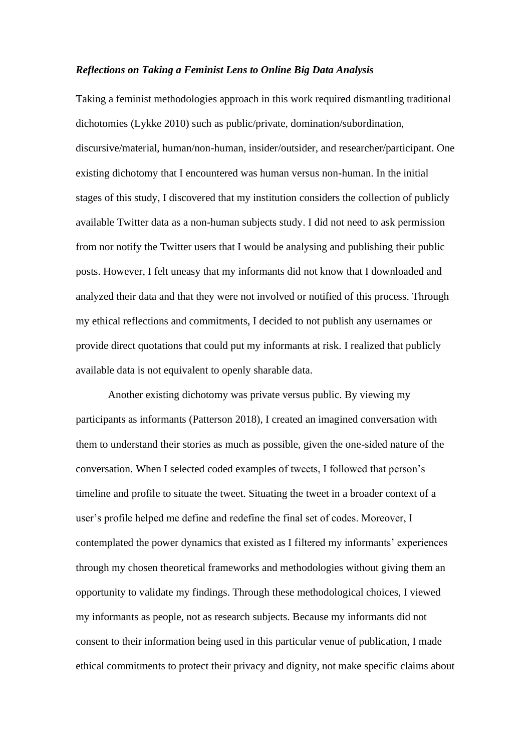#### *Reflections on Taking a Feminist Lens to Online Big Data Analysis*

Taking a feminist methodologies approach in this work required dismantling traditional dichotomies (Lykke 2010) such as public/private, domination/subordination, discursive/material, human/non-human, insider/outsider, and researcher/participant. One existing dichotomy that I encountered was human versus non-human. In the initial stages of this study, I discovered that my institution considers the collection of publicly available Twitter data as a non-human subjects study. I did not need to ask permission from nor notify the Twitter users that I would be analysing and publishing their public posts. However, I felt uneasy that my informants did not know that I downloaded and analyzed their data and that they were not involved or notified of this process. Through my ethical reflections and commitments, I decided to not publish any usernames or provide direct quotations that could put my informants at risk. I realized that publicly available data is not equivalent to openly sharable data.

Another existing dichotomy was private versus public. By viewing my participants as informants (Patterson 2018), I created an imagined conversation with them to understand their stories as much as possible, given the one-sided nature of the conversation. When I selected coded examples of tweets, I followed that person's timeline and profile to situate the tweet. Situating the tweet in a broader context of a user's profile helped me define and redefine the final set of codes. Moreover, I contemplated the power dynamics that existed as I filtered my informants' experiences through my chosen theoretical frameworks and methodologies without giving them an opportunity to validate my findings. Through these methodological choices, I viewed my informants as people, not as research subjects. Because my informants did not consent to their information being used in this particular venue of publication, I made ethical commitments to protect their privacy and dignity, not make specific claims about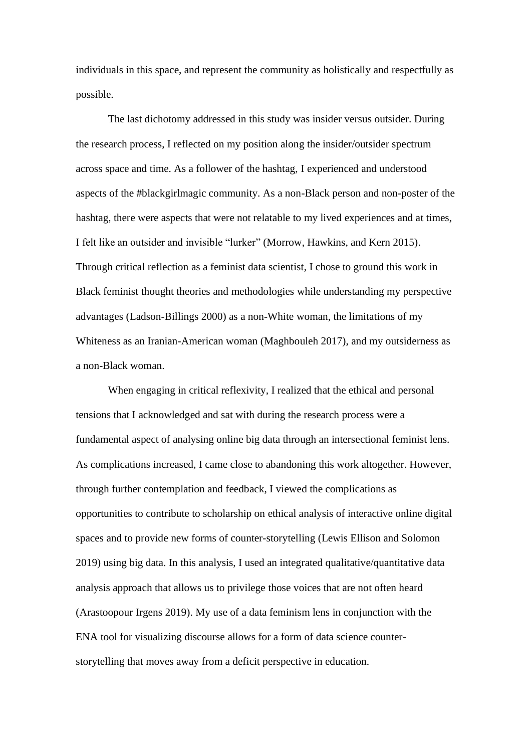individuals in this space, and represent the community as holistically and respectfully as possible.

The last dichotomy addressed in this study was insider versus outsider. During the research process, I reflected on my position along the insider/outsider spectrum across space and time. As a follower of the hashtag, I experienced and understood aspects of the #blackgirlmagic community. As a non-Black person and non-poster of the hashtag, there were aspects that were not relatable to my lived experiences and at times, I felt like an outsider and invisible "lurker" (Morrow, Hawkins, and Kern 2015). Through critical reflection as a feminist data scientist, I chose to ground this work in Black feminist thought theories and methodologies while understanding my perspective advantages (Ladson-Billings 2000) as a non-White woman, the limitations of my Whiteness as an Iranian-American woman (Maghbouleh 2017), and my outsiderness as a non-Black woman.

When engaging in critical reflexivity, I realized that the ethical and personal tensions that I acknowledged and sat with during the research process were a fundamental aspect of analysing online big data through an intersectional feminist lens. As complications increased, I came close to abandoning this work altogether. However, through further contemplation and feedback, I viewed the complications as opportunities to contribute to scholarship on ethical analysis of interactive online digital spaces and to provide new forms of counter-storytelling (Lewis Ellison and Solomon 2019) using big data. In this analysis, I used an integrated qualitative/quantitative data analysis approach that allows us to privilege those voices that are not often heard (Arastoopour Irgens 2019). My use of a data feminism lens in conjunction with the ENA tool for visualizing discourse allows for a form of data science counterstorytelling that moves away from a deficit perspective in education.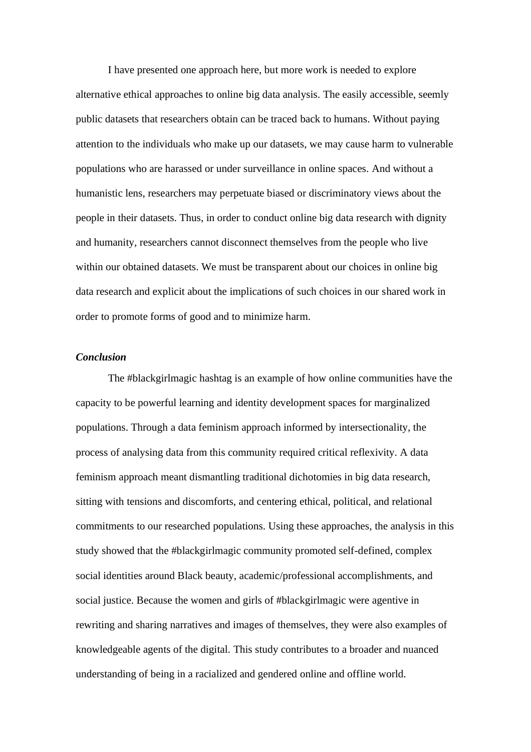I have presented one approach here, but more work is needed to explore alternative ethical approaches to online big data analysis. The easily accessible, seemly public datasets that researchers obtain can be traced back to humans. Without paying attention to the individuals who make up our datasets, we may cause harm to vulnerable populations who are harassed or under surveillance in online spaces. And without a humanistic lens, researchers may perpetuate biased or discriminatory views about the people in their datasets. Thus, in order to conduct online big data research with dignity and humanity, researchers cannot disconnect themselves from the people who live within our obtained datasets. We must be transparent about our choices in online big data research and explicit about the implications of such choices in our shared work in order to promote forms of good and to minimize harm.

### *Conclusion*

The #blackgirlmagic hashtag is an example of how online communities have the capacity to be powerful learning and identity development spaces for marginalized populations. Through a data feminism approach informed by intersectionality, the process of analysing data from this community required critical reflexivity. A data feminism approach meant dismantling traditional dichotomies in big data research, sitting with tensions and discomforts, and centering ethical, political, and relational commitments to our researched populations. Using these approaches, the analysis in this study showed that the #blackgirlmagic community promoted self-defined, complex social identities around Black beauty, academic/professional accomplishments, and social justice. Because the women and girls of #blackgirlmagic were agentive in rewriting and sharing narratives and images of themselves, they were also examples of knowledgeable agents of the digital. This study contributes to a broader and nuanced understanding of being in a racialized and gendered online and offline world.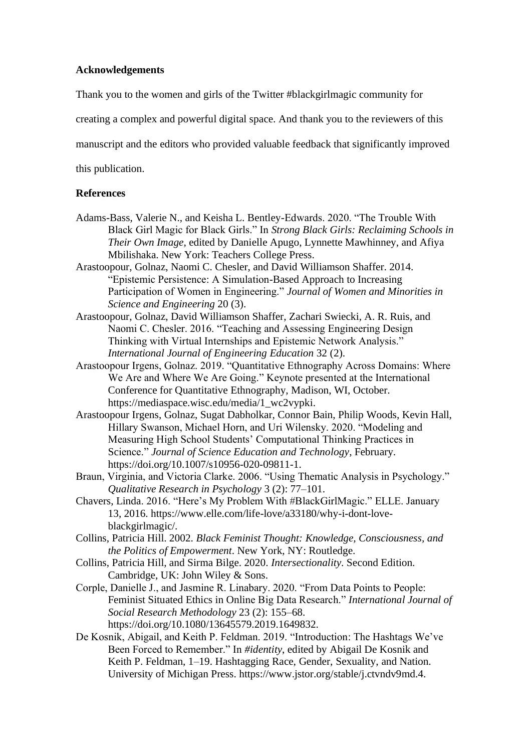### **Acknowledgements**

Thank you to the women and girls of the Twitter #blackgirlmagic community for

creating a complex and powerful digital space. And thank you to the reviewers of this

manuscript and the editors who provided valuable feedback that significantly improved

this publication.

#### **References**

- Adams-Bass, Valerie N., and Keisha L. Bentley-Edwards. 2020. "The Trouble With Black Girl Magic for Black Girls." In *Strong Black Girls: Reclaiming Schools in Their Own Image*, edited by Danielle Apugo, Lynnette Mawhinney, and Afiya Mbilishaka. New York: Teachers College Press.
- Arastoopour, Golnaz, Naomi C. Chesler, and David Williamson Shaffer. 2014. "Epistemic Persistence: A Simulation-Based Approach to Increasing Participation of Women in Engineering." *Journal of Women and Minorities in Science and Engineering* 20 (3).
- Arastoopour, Golnaz, David Williamson Shaffer, Zachari Swiecki, A. R. Ruis, and Naomi C. Chesler. 2016. "Teaching and Assessing Engineering Design Thinking with Virtual Internships and Epistemic Network Analysis." *International Journal of Engineering Education* 32 (2).
- Arastoopour Irgens, Golnaz. 2019. "Quantitative Ethnography Across Domains: Where We Are and Where We Are Going." Keynote presented at the International Conference for Quantitative Ethnography, Madison, WI, October. https://mediaspace.wisc.edu/media/1\_wc2vypki.
- Arastoopour Irgens, Golnaz, Sugat Dabholkar, Connor Bain, Philip Woods, Kevin Hall, Hillary Swanson, Michael Horn, and Uri Wilensky. 2020. "Modeling and Measuring High School Students' Computational Thinking Practices in Science." *Journal of Science Education and Technology*, February. https://doi.org/10.1007/s10956-020-09811-1.
- Braun, Virginia, and Victoria Clarke. 2006. "Using Thematic Analysis in Psychology." *Qualitative Research in Psychology* 3 (2): 77–101.
- Chavers, Linda. 2016. "Here's My Problem With #BlackGirlMagic." ELLE. January 13, 2016. https://www.elle.com/life-love/a33180/why-i-dont-loveblackgirlmagic/.
- Collins, Patricia Hill. 2002. *Black Feminist Thought: Knowledge, Consciousness, and the Politics of Empowerment*. New York, NY: Routledge.
- Collins, Patricia Hill, and Sirma Bilge. 2020. *Intersectionality*. Second Edition. Cambridge, UK: John Wiley & Sons.
- Corple, Danielle J., and Jasmine R. Linabary. 2020. "From Data Points to People: Feminist Situated Ethics in Online Big Data Research." *International Journal of Social Research Methodology* 23 (2): 155–68. https://doi.org/10.1080/13645579.2019.1649832.
- De Kosnik, Abigail, and Keith P. Feldman. 2019. "Introduction: The Hashtags We've Been Forced to Remember." In *#identity*, edited by Abigail De Kosnik and Keith P. Feldman, 1–19. Hashtagging Race, Gender, Sexuality, and Nation. University of Michigan Press. https://www.jstor.org/stable/j.ctvndv9md.4.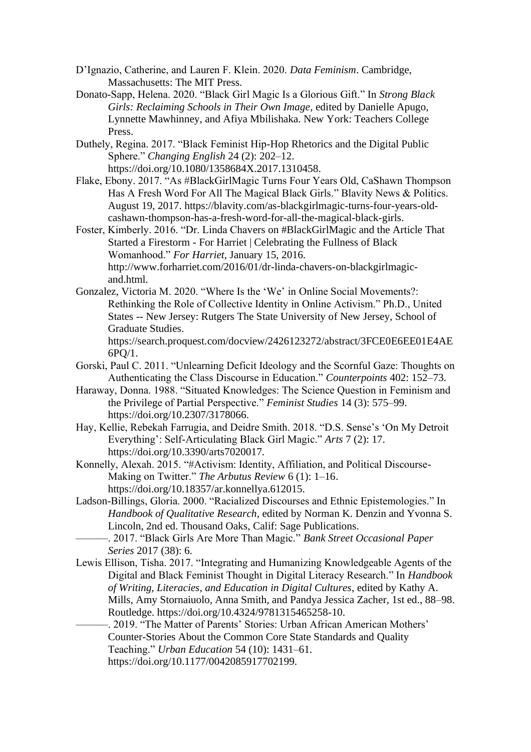- D'Ignazio, Catherine, and Lauren F. Klein. 2020. *Data Feminism*. Cambridge, Massachusetts: The MIT Press.
- Donato-Sapp, Helena. 2020. "Black Girl Magic Is a Glorious Gift." In *Strong Black Girls: Reclaiming Schools in Their Own Image*, edited by Danielle Apugo, Lynnette Mawhinney, and Afiya Mbilishaka. New York: Teachers College Press.
- Duthely, Regina. 2017. "Black Feminist Hip-Hop Rhetorics and the Digital Public Sphere." *Changing English* 24 (2): 202–12. https://doi.org/10.1080/1358684X.2017.1310458.
- Flake, Ebony. 2017. "As #BlackGirlMagic Turns Four Years Old, CaShawn Thompson Has A Fresh Word For All The Magical Black Girls." Blavity News & Politics. August 19, 2017. https://blavity.com/as-blackgirlmagic-turns-four-years-oldcashawn-thompson-has-a-fresh-word-for-all-the-magical-black-girls.

Foster, Kimberly. 2016. "Dr. Linda Chavers on #BlackGirlMagic and the Article That Started a Firestorm - For Harriet | Celebrating the Fullness of Black Womanhood." *For Harriet*, January 15, 2016. http://www.forharriet.com/2016/01/dr-linda-chavers-on-blackgirlmagicand.html.

Gonzalez, Victoria M. 2020. "Where Is the 'We' in Online Social Movements?: Rethinking the Role of Collective Identity in Online Activism." Ph.D., United States -- New Jersey: Rutgers The State University of New Jersey, School of Graduate Studies.

https://search.proquest.com/docview/2426123272/abstract/3FCE0E6EE01E4AE 6PQ/1.

- Gorski, Paul C. 2011. "Unlearning Deficit Ideology and the Scornful Gaze: Thoughts on Authenticating the Class Discourse in Education." *Counterpoints* 402: 152–73.
- Haraway, Donna. 1988. "Situated Knowledges: The Science Question in Feminism and the Privilege of Partial Perspective." *Feminist Studies* 14 (3): 575–99. https://doi.org/10.2307/3178066.
- Hay, Kellie, Rebekah Farrugia, and Deidre Smith. 2018. "D.S. Sense's 'On My Detroit Everything': Self-Articulating Black Girl Magic." *Arts* 7 (2): 17. https://doi.org/10.3390/arts7020017.
- Konnelly, Alexah. 2015. "#Activism: Identity, Affiliation, and Political Discourse-Making on Twitter." *The Arbutus Review* 6 (1): 1–16. https://doi.org/10.18357/ar.konnellya.612015.
- Ladson-Billings, Gloria. 2000. "Racialized Discourses and Ethnic Epistemologies." In *Handbook of Qualitative Research*, edited by Norman K. Denzin and Yvonna S. Lincoln, 2nd ed. Thousand Oaks, Calif: Sage Publications.
	- ———. 2017. "Black Girls Are More Than Magic." *Bank Street Occasional Paper Series* 2017 (38): 6.
- Lewis Ellison, Tisha. 2017. "Integrating and Humanizing Knowledgeable Agents of the Digital and Black Feminist Thought in Digital Literacy Research." In *Handbook of Writing, Literacies, and Education in Digital Cultures*, edited by Kathy A. Mills, Amy Stornaiuolo, Anna Smith, and Pandya Jessica Zacher, 1st ed., 88–98. Routledge. https://doi.org/10.4324/9781315465258-10.

-. 2019. "The Matter of Parents' Stories: Urban African American Mothers' Counter-Stories About the Common Core State Standards and Quality Teaching." *Urban Education* 54 (10): 1431–61.

https://doi.org/10.1177/0042085917702199.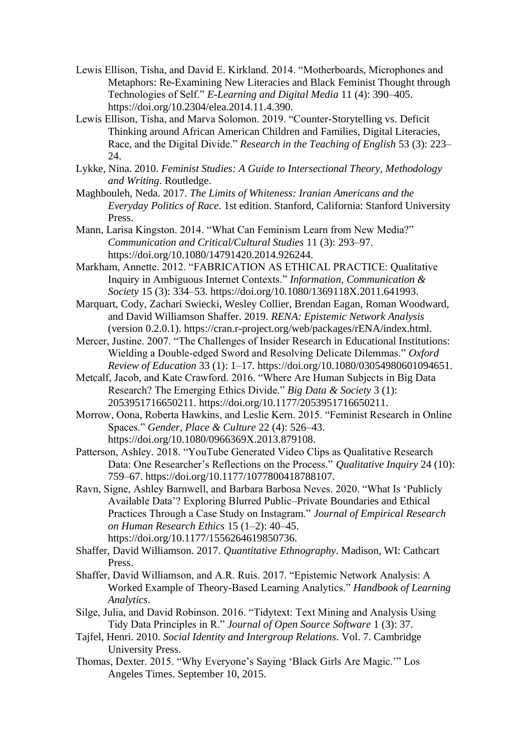- Lewis Ellison, Tisha, and David E. Kirkland. 2014. "Motherboards, Microphones and Metaphors: Re-Examining New Literacies and Black Feminist Thought through Technologies of Self." *E-Learning and Digital Media* 11 (4): 390–405. https://doi.org/10.2304/elea.2014.11.4.390.
- Lewis Ellison, Tisha, and Marva Solomon. 2019. "Counter-Storytelling vs. Deficit Thinking around African American Children and Families, Digital Literacies, Race, and the Digital Divide." *Research in the Teaching of English* 53 (3): 223– 24.
- Lykke, Nina. 2010. *Feminist Studies: A Guide to Intersectional Theory, Methodology and Writing*. Routledge.
- Maghbouleh, Neda. 2017. *The Limits of Whiteness: Iranian Americans and the Everyday Politics of Race*. 1st edition. Stanford, California: Stanford University Press.
- Mann, Larisa Kingston. 2014. "What Can Feminism Learn from New Media?" *Communication and Critical/Cultural Studies* 11 (3): 293–97. https://doi.org/10.1080/14791420.2014.926244.
- Markham, Annette. 2012. "FABRICATION AS ETHICAL PRACTICE: Qualitative Inquiry in Ambiguous Internet Contexts." *Information, Communication & Society* 15 (3): 334–53. https://doi.org/10.1080/1369118X.2011.641993.
- Marquart, Cody, Zachari Swiecki, Wesley Collier, Brendan Eagan, Roman Woodward, and David Williamson Shaffer. 2019. *RENA: Epistemic Network Analysis* (version 0.2.0.1). https://cran.r-project.org/web/packages/rENA/index.html.
- Mercer, Justine. 2007. "The Challenges of Insider Research in Educational Institutions: Wielding a Double‐edged Sword and Resolving Delicate Dilemmas." *Oxford Review of Education* 33 (1): 1–17. https://doi.org/10.1080/03054980601094651.
- Metcalf, Jacob, and Kate Crawford. 2016. "Where Are Human Subjects in Big Data Research? The Emerging Ethics Divide." *Big Data & Society* 3 (1): 2053951716650211. https://doi.org/10.1177/2053951716650211.
- Morrow, Oona, Roberta Hawkins, and Leslie Kern. 2015. "Feminist Research in Online Spaces." *Gender, Place & Culture* 22 (4): 526–43. https://doi.org/10.1080/0966369X.2013.879108.
- Patterson, Ashley. 2018. "YouTube Generated Video Clips as Qualitative Research Data: One Researcher's Reflections on the Process." *Qualitative Inquiry* 24 (10): 759–67. https://doi.org/10.1177/1077800418788107.
- Ravn, Signe, Ashley Barnwell, and Barbara Barbosa Neves. 2020. "What Is 'Publicly Available Data'? Exploring Blurred Public–Private Boundaries and Ethical Practices Through a Case Study on Instagram." *Journal of Empirical Research on Human Research Ethics* 15 (1–2): 40–45. https://doi.org/10.1177/1556264619850736.
- Shaffer, David Williamson. 2017. *Quantitative Ethnography*. Madison, WI: Cathcart Press.
- Shaffer, David Williamson, and A.R. Ruis. 2017. "Epistemic Network Analysis: A Worked Example of Theory-Based Learning Analytics." *Handbook of Learning Analytics*.
- Silge, Julia, and David Robinson. 2016. "Tidytext: Text Mining and Analysis Using Tidy Data Principles in R." *Journal of Open Source Software* 1 (3): 37.
- Tajfel, Henri. 2010. *Social Identity and Intergroup Relations*. Vol. 7. Cambridge University Press.
- Thomas, Dexter. 2015. "Why Everyone's Saying 'Black Girls Are Magic.'" Los Angeles Times. September 10, 2015.